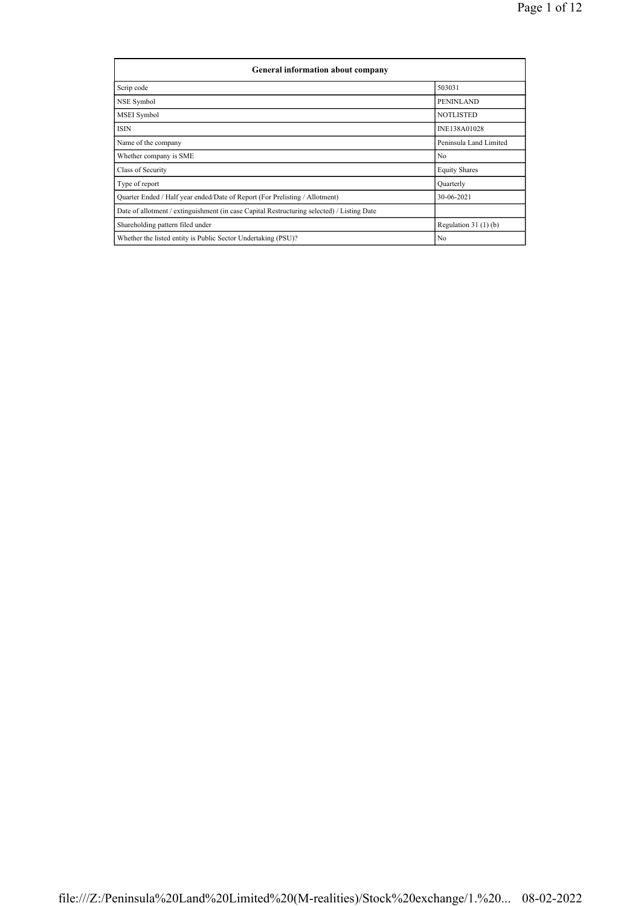| <b>General information about company</b>                                                   |                        |
|--------------------------------------------------------------------------------------------|------------------------|
| Scrip code                                                                                 | 503031                 |
| NSE Symbol                                                                                 | PENINLAND              |
| <b>MSEI</b> Symbol                                                                         | <b>NOTLISTED</b>       |
| <b>ISIN</b>                                                                                | INE138A01028           |
| Name of the company                                                                        | Peninsula Land Limited |
| Whether company is SME                                                                     | No                     |
| Class of Security                                                                          | <b>Equity Shares</b>   |
| Type of report                                                                             | Quarterly              |
| Quarter Ended / Half year ended/Date of Report (For Prelisting / Allotment)                | 30-06-2021             |
| Date of allotment / extinguishment (in case Capital Restructuring selected) / Listing Date |                        |
| Shareholding pattern filed under                                                           | Regulation $31(1)(b)$  |
| Whether the listed entity is Public Sector Undertaking (PSU)?                              | No                     |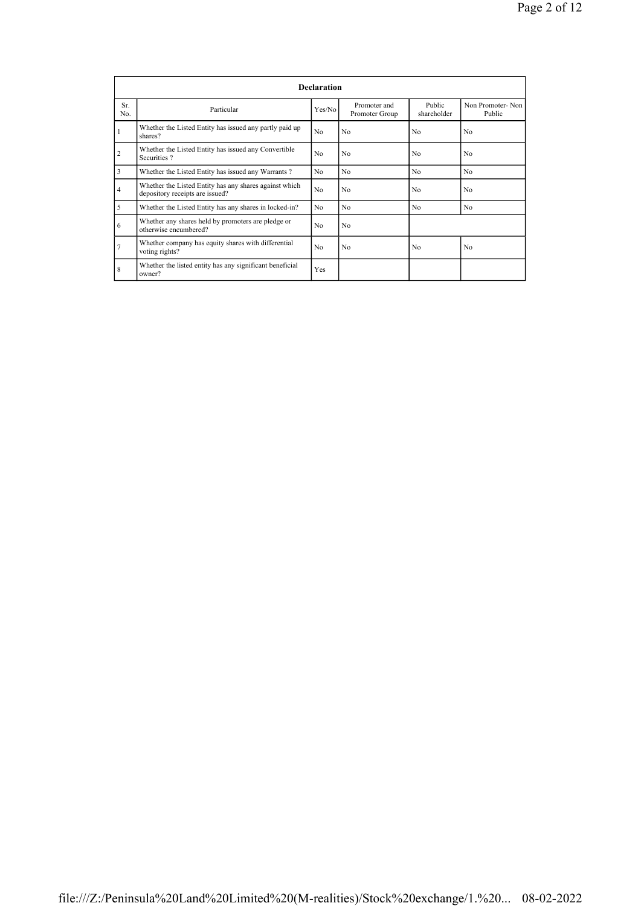|                |                                                                                           | <b>Declaration</b> |                                |                       |                            |
|----------------|-------------------------------------------------------------------------------------------|--------------------|--------------------------------|-----------------------|----------------------------|
| Sr.<br>No.     | Particular                                                                                | Yes/No             | Promoter and<br>Promoter Group | Public<br>shareholder | Non Promoter-Non<br>Public |
| 1              | Whether the Listed Entity has issued any partly paid up<br>shares?                        | No                 | No                             | No                    | No                         |
| $\overline{2}$ | Whether the Listed Entity has issued any Convertible<br>Securities?                       | No                 | No                             | N <sub>0</sub>        | No                         |
| 3              | Whether the Listed Entity has issued any Warrants?                                        | N <sub>0</sub>     | No                             | N <sub>0</sub>        | No                         |
| $\overline{4}$ | Whether the Listed Entity has any shares against which<br>depository receipts are issued? | No                 | No                             | N <sub>0</sub>        | No                         |
| 5              | Whether the Listed Entity has any shares in locked-in?                                    | N <sub>0</sub>     | No                             | N <sub>0</sub>        | No                         |
| 6              | Whether any shares held by promoters are pledge or<br>otherwise encumbered?               | No                 | No                             |                       |                            |
|                | Whether company has equity shares with differential<br>voting rights?                     | No                 | No                             | N <sub>0</sub>        | No                         |
| 8              | Whether the listed entity has any significant beneficial<br>owner?                        | Yes                |                                |                       |                            |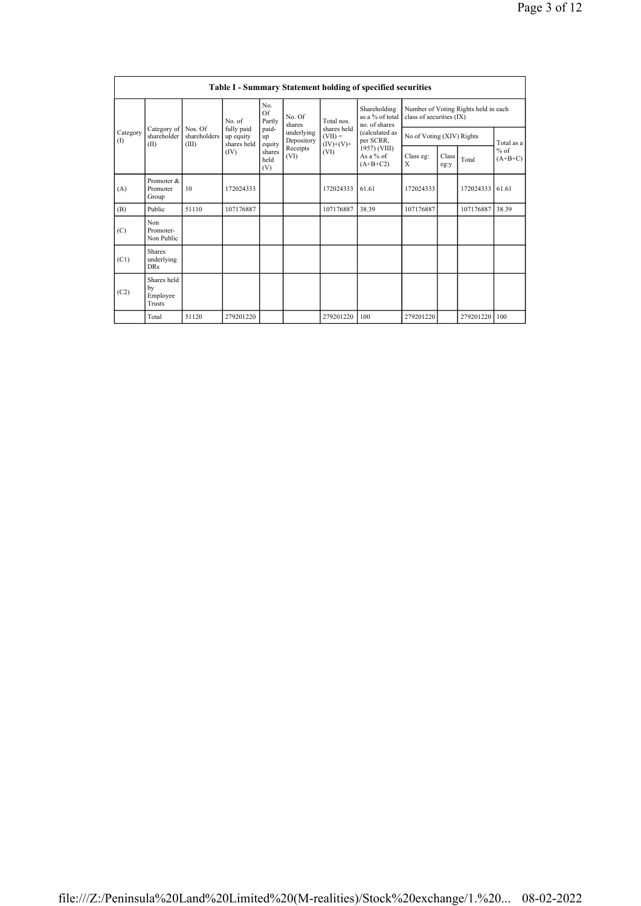|                 |                                                |                                  |                                        |                       |                          |                                         | Table I - Summary Statement holding of specified securities |                           |               |                                      |                     |
|-----------------|------------------------------------------------|----------------------------------|----------------------------------------|-----------------------|--------------------------|-----------------------------------------|-------------------------------------------------------------|---------------------------|---------------|--------------------------------------|---------------------|
|                 |                                                |                                  | No. of                                 | No.<br>Of<br>Partly   | No. Of<br>shares         | Total nos.                              | Shareholding<br>as a % of total<br>no. of shares            | class of securities (IX)  |               | Number of Voting Rights held in each |                     |
| Category<br>(1) | Category of<br>shareholder<br>(II)             | Nos. Of<br>shareholders<br>(III) | fully paid<br>up equity<br>shares held | paid-<br>up<br>equity | underlying<br>Depository | shares held<br>$(VII) =$<br>$(IV)+(V)+$ | (calculated as<br>per SCRR,                                 | No of Voting (XIV) Rights |               |                                      | Total as a          |
|                 |                                                |                                  | (IV)                                   | shares<br>held<br>(V) | Receipts<br>(VI)         | (VI)                                    | 1957) (VIII)<br>As a $%$ of<br>$(A+B+C2)$                   | Class eg:<br>X            | Class<br>eg:y | Total                                | $%$ of<br>$(A+B+C)$ |
| (A)             | Promoter &<br>Promoter<br>Group                | 10                               | 172024333                              |                       |                          | 172024333                               | 61.61                                                       | 172024333                 |               | 172024333                            | 61.61               |
| (B)             | Public                                         | 51110                            | 107176887                              |                       |                          | 107176887                               | 38.39                                                       | 107176887                 |               | 107176887                            | 38.39               |
| (C)             | Non<br>Promoter-<br>Non Public                 |                                  |                                        |                       |                          |                                         |                                                             |                           |               |                                      |                     |
| (C1)            | <b>Shares</b><br>underlying<br><b>DRs</b>      |                                  |                                        |                       |                          |                                         |                                                             |                           |               |                                      |                     |
| (C2)            | Shares held<br>by<br>Employee<br><b>Trusts</b> |                                  |                                        |                       |                          |                                         |                                                             |                           |               |                                      |                     |
|                 | Total                                          | 51120                            | 279201220                              |                       |                          | 279201220                               | 100                                                         | 279201220                 |               | 279201220                            | 100                 |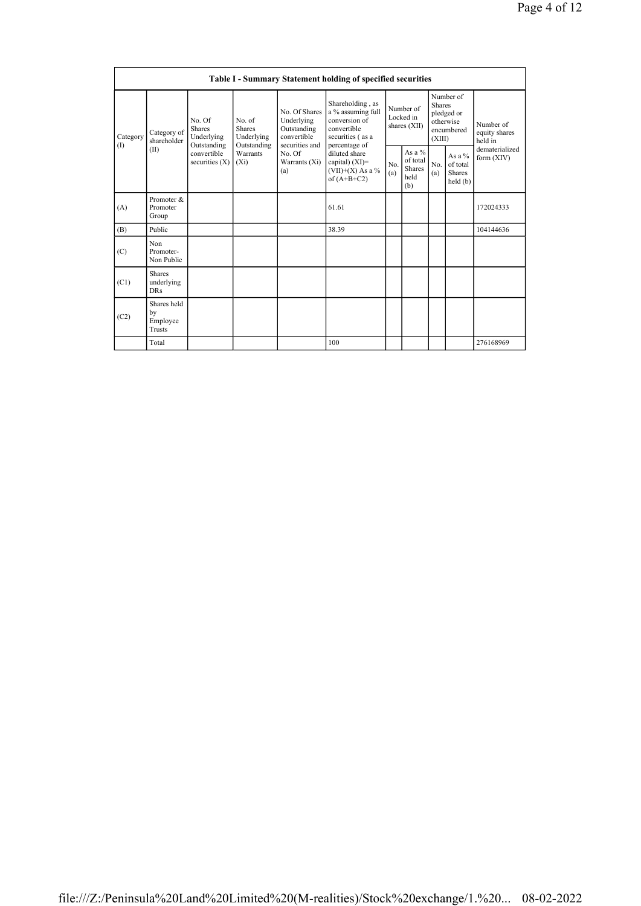|                 |                                                |                                                      |                                                      |                                                                             | <b>Table I - Summary Statement holding of specified securities</b>                                         |            |                                                      |                         |                                                    |                                       |
|-----------------|------------------------------------------------|------------------------------------------------------|------------------------------------------------------|-----------------------------------------------------------------------------|------------------------------------------------------------------------------------------------------------|------------|------------------------------------------------------|-------------------------|----------------------------------------------------|---------------------------------------|
| Category<br>(1) | Category of<br>shareholder                     | No. Of<br><b>Shares</b><br>Underlying<br>Outstanding | No. of<br><b>Shares</b><br>Underlying<br>Outstanding | No. Of Shares<br>Underlying<br>Outstanding<br>convertible<br>securities and | Shareholding, as<br>a % assuming full<br>conversion of<br>convertible<br>securities (as a<br>percentage of |            | Number of<br>Locked in<br>shares (XII)               | <b>Shares</b><br>(XIII) | Number of<br>pledged or<br>otherwise<br>encumbered | Number of<br>equity shares<br>held in |
|                 | (II)                                           | convertible<br>securities $(X)$                      | Warrants<br>$(X_i)$                                  | No. Of<br>Warrants (Xi)<br>(a)                                              | diluted share<br>capital) (XI)=<br>$(VII)+(X)$ As a %<br>of $(A+B+C2)$                                     | No.<br>(a) | As a $%$<br>of total<br><b>Shares</b><br>held<br>(b) | No.<br>(a)              | As a $%$<br>of total<br><b>Shares</b><br>held(b)   | dematerialized<br>form $(XIV)$        |
| (A)             | Promoter &<br>Promoter<br>Group                |                                                      |                                                      |                                                                             | 61.61                                                                                                      |            |                                                      |                         |                                                    | 172024333                             |
| (B)             | Public                                         |                                                      |                                                      |                                                                             | 38.39                                                                                                      |            |                                                      |                         |                                                    | 104144636                             |
| (C)             | Non<br>Promoter-<br>Non Public                 |                                                      |                                                      |                                                                             |                                                                                                            |            |                                                      |                         |                                                    |                                       |
| (C1)            | <b>Shares</b><br>underlying<br><b>DRs</b>      |                                                      |                                                      |                                                                             |                                                                                                            |            |                                                      |                         |                                                    |                                       |
| (C2)            | Shares held<br>by<br>Employee<br><b>Trusts</b> |                                                      |                                                      |                                                                             |                                                                                                            |            |                                                      |                         |                                                    |                                       |
|                 | Total                                          |                                                      |                                                      |                                                                             | 100                                                                                                        |            |                                                      |                         |                                                    | 276168969                             |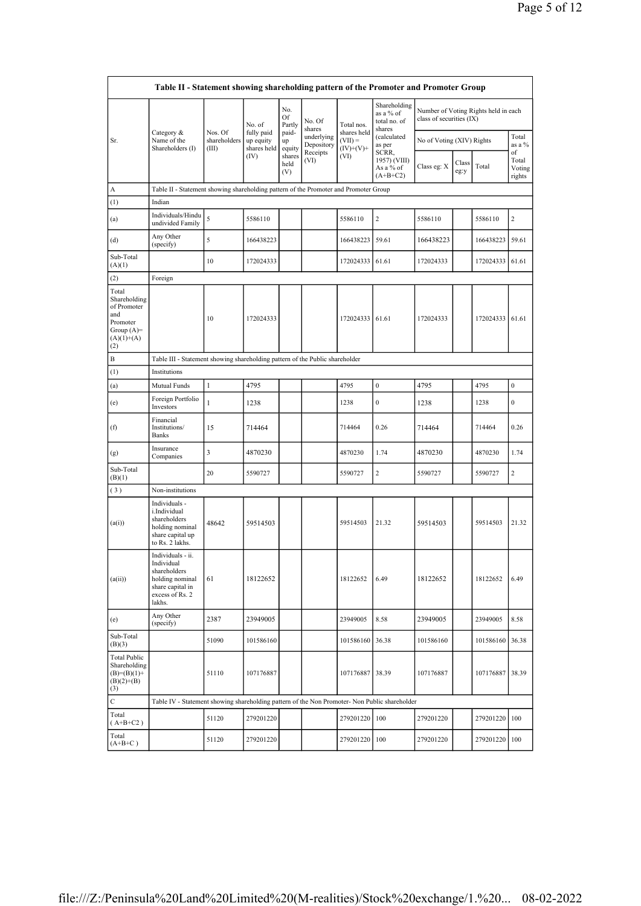|                                                                                                | Table II - Statement showing shareholding pattern of the Promoter and Promoter Group                                |                                  |                                        |                       |                          |                                         |                                                     |                           |               |                                      |                                 |
|------------------------------------------------------------------------------------------------|---------------------------------------------------------------------------------------------------------------------|----------------------------------|----------------------------------------|-----------------------|--------------------------|-----------------------------------------|-----------------------------------------------------|---------------------------|---------------|--------------------------------------|---------------------------------|
|                                                                                                |                                                                                                                     |                                  | No. of                                 | No.<br>Of<br>Partly   | No. Of<br>shares         | Total nos.                              | Shareholding<br>as a % of<br>total no. of<br>shares | class of securities (IX)  |               | Number of Voting Rights held in each |                                 |
| Sr.                                                                                            | Category &<br>Name of the<br>Shareholders (I)                                                                       | Nos. Of<br>shareholders<br>(III) | fully paid<br>up equity<br>shares held | paid-<br>up<br>equity | underlying<br>Depository | shares held<br>$(VII) =$<br>$(IV)+(V)+$ | (calculated<br>as per                               | No of Voting (XIV) Rights |               |                                      | Total<br>as a %                 |
|                                                                                                |                                                                                                                     |                                  | (IV)                                   | shares<br>held<br>(V) | Receipts<br>(VI)         | (VI)                                    | SCRR,<br>1957) (VIII)<br>As a % of<br>$(A+B+C2)$    | Class eg: X               | Class<br>eg:y | Total                                | of<br>Total<br>Voting<br>rights |
| А                                                                                              | Table II - Statement showing shareholding pattern of the Promoter and Promoter Group                                |                                  |                                        |                       |                          |                                         |                                                     |                           |               |                                      |                                 |
| (1)                                                                                            | Indian                                                                                                              |                                  |                                        |                       |                          |                                         |                                                     |                           |               |                                      |                                 |
| (a)                                                                                            | Individuals/Hindu<br>undivided Family                                                                               | 5                                | 5586110                                |                       |                          | 5586110                                 | $\overline{2}$                                      | 5586110                   |               | 5586110                              | $\overline{c}$                  |
| (d)                                                                                            | Any Other<br>(specify)                                                                                              | 5                                | 166438223                              |                       |                          | 166438223                               | 59.61                                               | 166438223                 |               | 166438223                            | 59.61                           |
| Sub-Total<br>(A)(1)                                                                            |                                                                                                                     | 10                               | 172024333                              |                       |                          | 172024333                               | 61.61                                               | 172024333                 |               | 172024333                            | 61.61                           |
| (2)                                                                                            | Foreign                                                                                                             |                                  |                                        |                       |                          |                                         |                                                     |                           |               |                                      |                                 |
| Total<br>Shareholding<br>of Promoter<br>and<br>Promoter<br>Group $(A)=$<br>$(A)(1)+(A)$<br>(2) |                                                                                                                     | 10                               | 172024333                              |                       |                          | 172024333                               | 61.61                                               | 172024333                 |               | 172024333 61.61                      |                                 |
| $_{\rm B}$                                                                                     | Table III - Statement showing shareholding pattern of the Public shareholder                                        |                                  |                                        |                       |                          |                                         |                                                     |                           |               |                                      |                                 |
| (1)                                                                                            | Institutions                                                                                                        |                                  |                                        |                       |                          |                                         |                                                     |                           |               |                                      |                                 |
| (a)                                                                                            | Mutual Funds                                                                                                        | 1                                | 4795                                   |                       |                          | 4795                                    | $\boldsymbol{0}$                                    | 4795                      |               | 4795                                 | $\boldsymbol{0}$                |
| (e)                                                                                            | Foreign Portfolio<br>Investors                                                                                      | $\mathbf{1}$                     | 1238                                   |                       |                          | 1238                                    | $\boldsymbol{0}$                                    | 1238                      |               | 1238                                 | $\boldsymbol{0}$                |
| (f)                                                                                            | Financial<br>Institutions/<br><b>Banks</b>                                                                          | 15                               | 714464                                 |                       |                          | 714464                                  | 0.26                                                | 714464                    |               | 714464                               | 0.26                            |
| (g)                                                                                            | Insurance<br>Companies                                                                                              | 3                                | 4870230                                |                       |                          | 4870230                                 | 1.74                                                | 4870230                   |               | 4870230                              | 1.74                            |
| Sub-Total<br>(B)(1)                                                                            |                                                                                                                     | 20                               | 5590727                                |                       |                          | 5590727                                 | $\overline{2}$                                      | 5590727                   |               | 5590727                              | $\overline{c}$                  |
| (3)                                                                                            | Non-institutions                                                                                                    |                                  |                                        |                       |                          |                                         |                                                     |                           |               |                                      |                                 |
| (a(i))                                                                                         | Individuals -<br>i.Individual<br>shareholders<br>holding nominal<br>share capital up<br>to Rs. 2 lakhs.             | 48642                            | 59514503                               |                       |                          | 59514503                                | 21.32                                               | 59514503                  |               | 59514503                             | 21.32                           |
| (a(ii))                                                                                        | Individuals - ii.<br>Individual<br>shareholders<br>holding nominal<br>share capital in<br>excess of Rs. 2<br>lakhs. | 61                               | 18122652                               |                       |                          | 18122652                                | 6.49                                                | 18122652                  |               | 18122652                             | 6.49                            |
| (e)                                                                                            | Any Other<br>(specify)                                                                                              | 2387                             | 23949005                               |                       |                          | 23949005                                | 8.58                                                | 23949005                  |               | 23949005                             | 8.58                            |
| Sub-Total<br>(B)(3)                                                                            |                                                                                                                     | 51090                            | 101586160                              |                       |                          | 101586160                               | 36.38                                               | 101586160                 |               | 101586160                            | 36.38                           |
| <b>Total Public</b><br>Shareholding<br>$(B)=(B)(1)+$<br>$(B)(2)+(B)$<br>(3)                    |                                                                                                                     | 51110                            | 107176887                              |                       |                          | 107176887 38.39                         |                                                     | 107176887                 |               | 107176887                            | 38.39                           |
| $\mathbf C$                                                                                    | Table IV - Statement showing shareholding pattern of the Non Promoter- Non Public shareholder                       |                                  |                                        |                       |                          |                                         |                                                     |                           |               |                                      |                                 |
| Total<br>$(A+B+C2)$                                                                            |                                                                                                                     | 51120                            | 279201220                              |                       |                          | 279201220 100                           |                                                     | 279201220                 |               | 279201220 100                        |                                 |
| Total<br>$(A+B+C)$                                                                             |                                                                                                                     | 51120                            | 279201220                              |                       |                          | 279201220                               | 100                                                 | 279201220                 |               | 279201220                            | 100                             |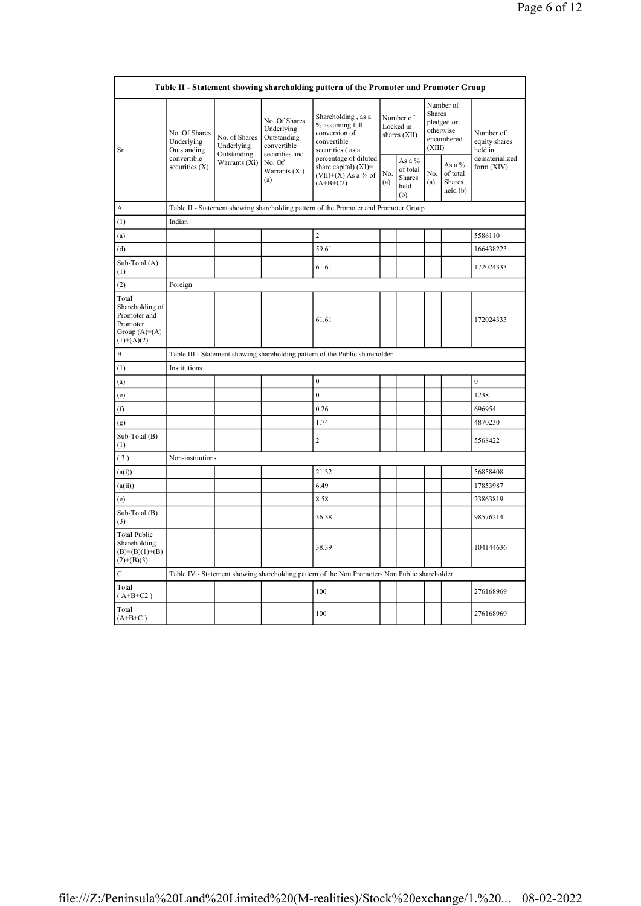|                                                                                        |                                            |                                            |                                                                             | Table II - Statement showing shareholding pattern of the Promoter and Promoter Group          |            |                                             |                         |                                                    |                                       |
|----------------------------------------------------------------------------------------|--------------------------------------------|--------------------------------------------|-----------------------------------------------------------------------------|-----------------------------------------------------------------------------------------------|------------|---------------------------------------------|-------------------------|----------------------------------------------------|---------------------------------------|
| Sr.                                                                                    | No. Of Shares<br>Underlying<br>Outstanding | No. of Shares<br>Underlying<br>Outstanding | No. Of Shares<br>Underlying<br>Outstanding<br>convertible<br>securities and | Shareholding, as a<br>% assuming full<br>conversion of<br>convertible<br>securities (as a     |            | Number of<br>Locked in<br>shares (XII)      | <b>Shares</b><br>(XIII) | Number of<br>pledged or<br>otherwise<br>encumbered | Number of<br>equity shares<br>held in |
|                                                                                        | convertible<br>securities $(X)$            | Warrants (Xi)                              | No. Of<br>Warrants (Xi)<br>(a)                                              | percentage of diluted<br>share capital) $(XI)=$<br>$(VII)+(X)$ As a % of<br>$(A+B+C2)$        | No.<br>(a) | As a %<br>of total<br>Shares<br>held<br>(b) | No.<br>(a)              | As a %<br>of total<br>Shares<br>held(b)            | dematerialized<br>form (XIV)          |
| A                                                                                      |                                            |                                            |                                                                             | Table II - Statement showing shareholding pattern of the Promoter and Promoter Group          |            |                                             |                         |                                                    |                                       |
| (1)                                                                                    | Indian                                     |                                            |                                                                             |                                                                                               |            |                                             |                         |                                                    |                                       |
| (a)                                                                                    |                                            |                                            |                                                                             | $\overline{2}$                                                                                |            |                                             |                         |                                                    | 5586110                               |
| (d)                                                                                    |                                            |                                            |                                                                             | 59.61                                                                                         |            |                                             |                         |                                                    | 166438223                             |
| Sub-Total (A)<br>(1)                                                                   |                                            |                                            |                                                                             | 61.61                                                                                         |            |                                             |                         |                                                    | 172024333                             |
| (2)                                                                                    | Foreign                                    |                                            |                                                                             |                                                                                               |            |                                             |                         |                                                    |                                       |
| Total<br>Shareholding of<br>Promoter and<br>Promoter<br>Group $(A)=A)$<br>$(1)+(A)(2)$ |                                            |                                            |                                                                             | 61.61                                                                                         |            |                                             |                         |                                                    | 172024333                             |
| B                                                                                      |                                            |                                            |                                                                             | Table III - Statement showing shareholding pattern of the Public shareholder                  |            |                                             |                         |                                                    |                                       |
| (1)                                                                                    | Institutions                               |                                            |                                                                             |                                                                                               |            |                                             |                         |                                                    |                                       |
| (a)                                                                                    |                                            |                                            |                                                                             | $\mathbf{0}$                                                                                  |            |                                             |                         |                                                    | $\mathbf{0}$                          |
| (e)                                                                                    |                                            |                                            |                                                                             | $\mathbf{0}$                                                                                  |            |                                             |                         |                                                    | 1238                                  |
| (f)                                                                                    |                                            |                                            |                                                                             | 0.26                                                                                          |            |                                             |                         |                                                    | 696954                                |
| (g)                                                                                    |                                            |                                            |                                                                             | 1.74                                                                                          |            |                                             |                         |                                                    | 4870230                               |
| Sub-Total (B)<br>(1)                                                                   |                                            |                                            |                                                                             | $\overline{2}$                                                                                |            |                                             |                         |                                                    | 5568422                               |
| (3)                                                                                    | Non-institutions                           |                                            |                                                                             |                                                                                               |            |                                             |                         |                                                    |                                       |
| (a(i))                                                                                 |                                            |                                            |                                                                             | 21.32                                                                                         |            |                                             |                         |                                                    | 56858408                              |
| (a(ii))                                                                                |                                            |                                            |                                                                             | 6.49                                                                                          |            |                                             |                         |                                                    | 17853987                              |
| (e)                                                                                    |                                            |                                            |                                                                             | 8.58                                                                                          |            |                                             |                         |                                                    | 23863819                              |
| Sub-Total (B)<br>(3)                                                                   |                                            |                                            |                                                                             | 36.38                                                                                         |            |                                             |                         |                                                    | 98576214                              |
| <b>Total Public</b><br>Shareholding<br>$(B)=(B)(1)+(B)$<br>$(2)+(B)(3)$                |                                            |                                            |                                                                             | 38.39                                                                                         |            |                                             |                         |                                                    | 104144636                             |
| $\mathbf C$                                                                            |                                            |                                            |                                                                             | Table IV - Statement showing shareholding pattern of the Non Promoter- Non Public shareholder |            |                                             |                         |                                                    |                                       |
| Total<br>$(A+B+C2)$                                                                    |                                            |                                            |                                                                             | 100                                                                                           |            |                                             |                         |                                                    | 276168969                             |
| Total<br>$(A+B+C)$                                                                     |                                            |                                            |                                                                             | 100                                                                                           |            |                                             |                         |                                                    | 276168969                             |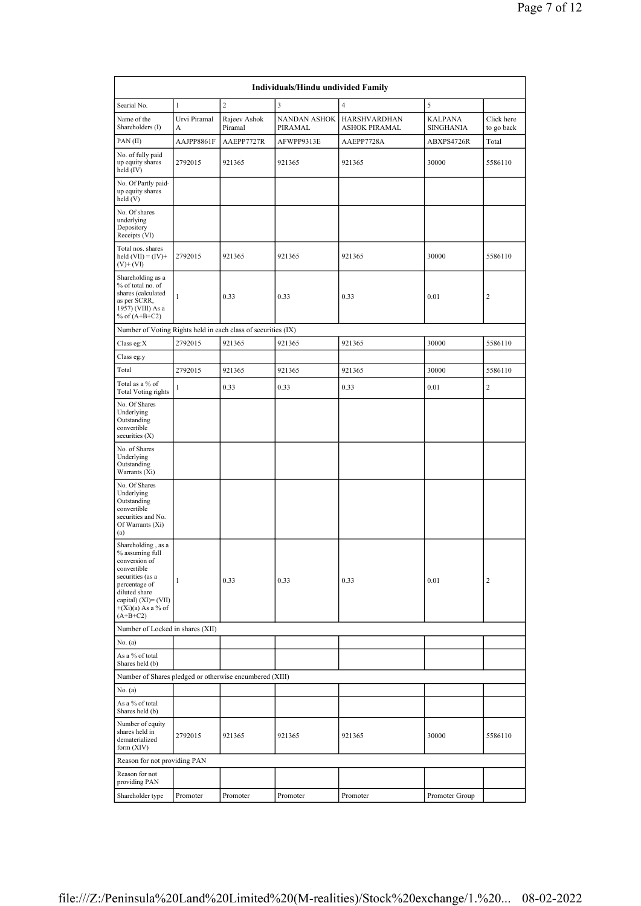|                                                                                                                                                                                              |                   |                         | Individuals/Hindu undivided Family |                                             |                                    |                          |
|----------------------------------------------------------------------------------------------------------------------------------------------------------------------------------------------|-------------------|-------------------------|------------------------------------|---------------------------------------------|------------------------------------|--------------------------|
| Searial No.                                                                                                                                                                                  | $\mathbf{1}$      | $\mathbf{2}$            | 3                                  | $\overline{4}$                              | 5                                  |                          |
| Name of the<br>Shareholders (I)                                                                                                                                                              | Urvi Piramal<br>A | Rajeev Ashok<br>Piramal | <b>NANDAN ASHOK</b><br>PIRAMAL     | <b>HARSHVARDHAN</b><br><b>ASHOK PIRAMAL</b> | <b>KALPANA</b><br><b>SINGHANIA</b> | Click here<br>to go back |
| PAN(II)                                                                                                                                                                                      | AAJPP8861F        | AAEPP7727R              | AFWPP9313E                         | AAEPP7728A                                  | ABXPS4726R                         | Total                    |
| No. of fully paid<br>up equity shares<br>held (IV)                                                                                                                                           | 2792015           | 921365                  | 921365                             | 921365                                      | 30000                              | 5586110                  |
| No. Of Partly paid-<br>up equity shares<br>held(V)                                                                                                                                           |                   |                         |                                    |                                             |                                    |                          |
| No. Of shares<br>underlying<br>Depository<br>Receipts (VI)                                                                                                                                   |                   |                         |                                    |                                             |                                    |                          |
| Total nos. shares<br>held $(VII) = (IV) +$<br>$(V)+(VI)$                                                                                                                                     | 2792015           | 921365                  | 921365                             | 921365                                      | 30000                              | 5586110                  |
| Shareholding as a<br>% of total no. of<br>shares (calculated<br>as per SCRR,<br>1957) (VIII) As a<br>% of $(A+B+C2)$                                                                         | $\mathbf{1}$      | 0.33                    | 0.33                               | 0.33                                        | 0.01                               | 2                        |
| Number of Voting Rights held in each class of securities (IX)                                                                                                                                |                   |                         |                                    |                                             |                                    |                          |
| Class eg:X                                                                                                                                                                                   | 2792015           | 921365                  | 921365                             | 921365                                      | 30000                              | 5586110                  |
| Class eg:y                                                                                                                                                                                   |                   |                         |                                    |                                             |                                    |                          |
| Total                                                                                                                                                                                        | 2792015           | 921365                  | 921365                             | 921365                                      | 30000                              | 5586110                  |
| Total as a % of<br><b>Total Voting rights</b>                                                                                                                                                | $\mathbf{1}$      | 0.33                    | 0.33                               | 0.33                                        | 0.01                               | $\overline{c}$           |
| No. Of Shares<br>Underlying<br>Outstanding<br>convertible<br>securities (X)                                                                                                                  |                   |                         |                                    |                                             |                                    |                          |
| No. of Shares<br>Underlying<br>Outstanding<br>Warrants (Xi)                                                                                                                                  |                   |                         |                                    |                                             |                                    |                          |
| No. Of Shares<br>Underlying<br>Outstanding<br>convertible<br>securities and No.<br>Of Warrants (Xi)<br>(a)                                                                                   |                   |                         |                                    |                                             |                                    |                          |
| Shareholding, as a<br>% assuming full<br>conversion of<br>convertible<br>securities (as a<br>percentage of<br>diluted share<br>capital) $(XI) = (VII)$<br>$+(Xi)(a)$ As a % of<br>$(A+B+C2)$ | $\mathbf{1}$      | 0.33                    | 0.33                               | 0.33                                        | 0.01                               | 2                        |
| Number of Locked in shares (XII)                                                                                                                                                             |                   |                         |                                    |                                             |                                    |                          |
| No. $(a)$                                                                                                                                                                                    |                   |                         |                                    |                                             |                                    |                          |
| As a % of total<br>Shares held (b)                                                                                                                                                           |                   |                         |                                    |                                             |                                    |                          |
| Number of Shares pledged or otherwise encumbered (XIII)                                                                                                                                      |                   |                         |                                    |                                             |                                    |                          |
| No. (a)                                                                                                                                                                                      |                   |                         |                                    |                                             |                                    |                          |
| As a % of total<br>Shares held (b)                                                                                                                                                           |                   |                         |                                    |                                             |                                    |                          |
| Number of equity<br>shares held in<br>dematerialized<br>form $(XIV)$                                                                                                                         | 2792015           | 921365                  | 921365                             | 921365                                      | 30000                              | 5586110                  |
| Reason for not providing PAN                                                                                                                                                                 |                   |                         |                                    |                                             |                                    |                          |
| Reason for not<br>providing PAN                                                                                                                                                              |                   |                         |                                    |                                             |                                    |                          |
| Shareholder type                                                                                                                                                                             | Promoter          | Promoter                | Promoter                           | Promoter                                    | Promoter Group                     |                          |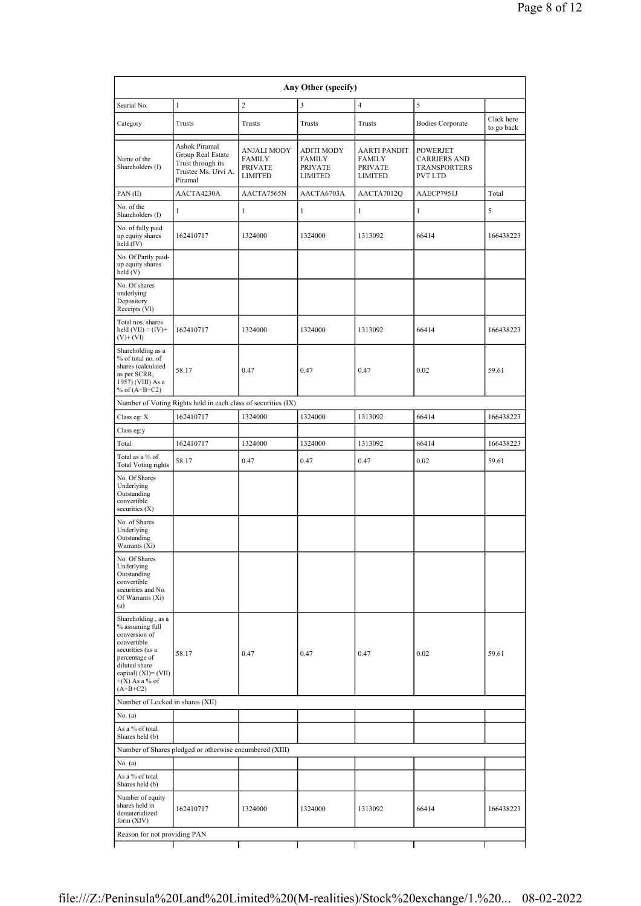| Searial No.                                                                                                                                                                              | $\mathbf{1}$                                                                              | $\overline{c}$                              | 3                                                                      | $\overline{4}$                                      | 5                                                                        |                          |
|------------------------------------------------------------------------------------------------------------------------------------------------------------------------------------------|-------------------------------------------------------------------------------------------|---------------------------------------------|------------------------------------------------------------------------|-----------------------------------------------------|--------------------------------------------------------------------------|--------------------------|
| Category                                                                                                                                                                                 | Trusts                                                                                    | Trusts                                      | Trusts                                                                 | Trusts                                              | <b>Bodies Corporate</b>                                                  | Click here<br>to go back |
| Name of the<br>Shareholders (I)                                                                                                                                                          | Ashok Piramal<br>Group Real Estate<br>Trust through its<br>Trustee Ms. Urvi A.<br>Piramal | ANJALI MODY<br>FAMILY<br>PRIVATE<br>LIMITED | <b>ADITI MODY</b><br><b>FAMILY</b><br><b>PRIVATE</b><br><b>LIMITED</b> | <b>AARTI PANDIT</b><br>FAMILY<br>PRIVATE<br>LIMITED | <b>POWERJET</b><br><b>CARRIERS AND</b><br><b>TRANSPORTERS</b><br>PVT LTD |                          |
| PAN(II)                                                                                                                                                                                  | AACTA4230A                                                                                | AACTA7565N                                  | AACTA6703A                                                             | AACTA7012Q                                          | AAECP7951J                                                               | Total                    |
| No. of the<br>Shareholders (I)                                                                                                                                                           | $\mathbf{1}$                                                                              | 1                                           | $\mathbf{1}$                                                           | $\mathbf{1}$                                        | 1                                                                        | 5                        |
| No. of fully paid<br>up equity shares<br>held $(IV)$                                                                                                                                     | 162410717                                                                                 | 1324000                                     | 1324000                                                                | 1313092                                             | 66414                                                                    | 166438223                |
| No. Of Partly paid-<br>up equity shares<br>held (V)                                                                                                                                      |                                                                                           |                                             |                                                                        |                                                     |                                                                          |                          |
| No. Of shares<br>underlying<br>Depository<br>Receipts (VI)                                                                                                                               |                                                                                           |                                             |                                                                        |                                                     |                                                                          |                          |
| Total nos. shares<br>held $(VII) = (IV) +$<br>$(V)$ + (VI)                                                                                                                               | 162410717                                                                                 | 1324000                                     | 1324000                                                                | 1313092                                             | 66414                                                                    | 166438223                |
| Shareholding as a<br>% of total no. of<br>shares (calculated<br>as per SCRR,<br>1957) (VIII) As a<br>% of $(A+B+C2)$                                                                     | 58.17                                                                                     | 0.47                                        | 0.47                                                                   | 0.47                                                | 0.02                                                                     | 59.61                    |
|                                                                                                                                                                                          | Number of Voting Rights held in each class of securities (IX)                             |                                             |                                                                        |                                                     |                                                                          |                          |
| Class eg: X                                                                                                                                                                              | 162410717                                                                                 | 1324000                                     | 1324000                                                                | 1313092                                             | 66414                                                                    | 166438223                |
| Class eg:y                                                                                                                                                                               |                                                                                           |                                             |                                                                        |                                                     |                                                                          |                          |
| Total                                                                                                                                                                                    | 162410717                                                                                 | 1324000                                     | 1324000                                                                | 1313092                                             | 66414                                                                    | 166438223                |
| Total as a % of<br><b>Total Voting rights</b>                                                                                                                                            | 58.17                                                                                     | 0.47                                        | 0.47                                                                   | 0.47                                                | 0.02                                                                     | 59.61                    |
| No. Of Shares<br>Underlying<br>Outstanding<br>convertible<br>securities (X)                                                                                                              |                                                                                           |                                             |                                                                        |                                                     |                                                                          |                          |
| No. of Shares<br>Underlying<br>Outstanding<br>Warrants (Xi)                                                                                                                              |                                                                                           |                                             |                                                                        |                                                     |                                                                          |                          |
| No. Of Shares<br>Underlying<br>Outstanding<br>convertible<br>securities and No.<br>Of Warrants (Xi)<br>(a)                                                                               |                                                                                           |                                             |                                                                        |                                                     |                                                                          |                          |
| Shareholding, as a<br>% assuming full<br>conversion of<br>convertible<br>securities (as a<br>percentage of<br>diluted share<br>capital) $(XI) = (VII)$<br>$+(X)$ As a % of<br>$(A+B+C2)$ | 58.17                                                                                     | 0.47                                        | 0.47                                                                   | 0.47                                                | 0.02                                                                     | 59.61                    |
| Number of Locked in shares (XII)                                                                                                                                                         |                                                                                           |                                             |                                                                        |                                                     |                                                                          |                          |
| No. (a)                                                                                                                                                                                  |                                                                                           |                                             |                                                                        |                                                     |                                                                          |                          |
| As a % of total<br>Shares held (b)                                                                                                                                                       |                                                                                           |                                             |                                                                        |                                                     |                                                                          |                          |
|                                                                                                                                                                                          | Number of Shares pledged or otherwise encumbered (XIII)                                   |                                             |                                                                        |                                                     |                                                                          |                          |
| No. $(a)$<br>As a % of total                                                                                                                                                             |                                                                                           |                                             |                                                                        |                                                     |                                                                          |                          |
| Shares held (b)                                                                                                                                                                          |                                                                                           |                                             |                                                                        |                                                     |                                                                          |                          |
| Number of equity<br>shares held in<br>dematerialized<br>form $(XIV)$                                                                                                                     | 162410717                                                                                 | 1324000                                     | 1324000                                                                | 1313092                                             | 66414                                                                    | 166438223                |
| Reason for not providing PAN                                                                                                                                                             |                                                                                           |                                             |                                                                        |                                                     |                                                                          |                          |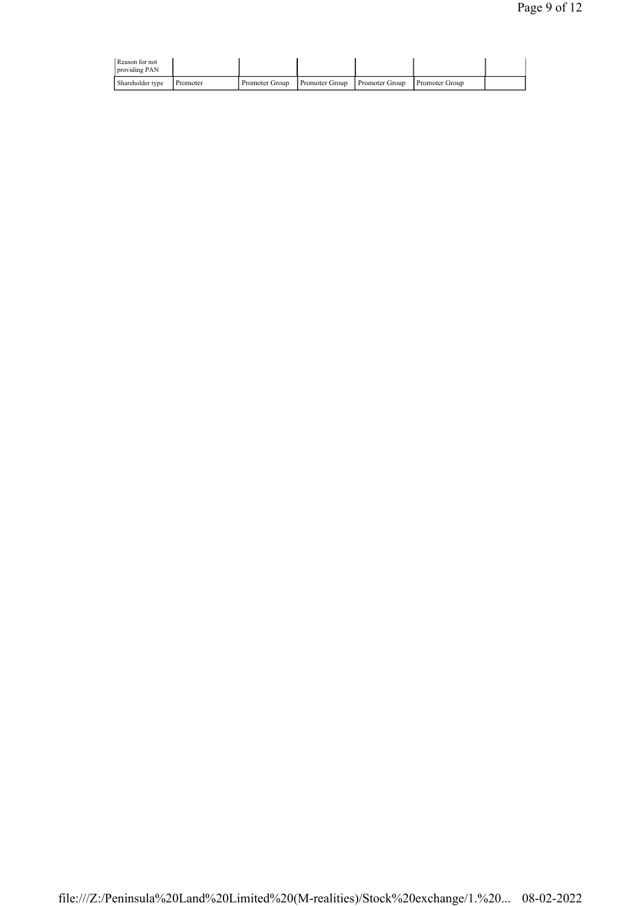| Reason for not<br>providing PAN |          |                                                     |  |                       |  |
|---------------------------------|----------|-----------------------------------------------------|--|-----------------------|--|
| Shareholder type                | Promoter | <b>Promoter Group</b> Promoter Group Promoter Group |  | <b>Promoter Group</b> |  |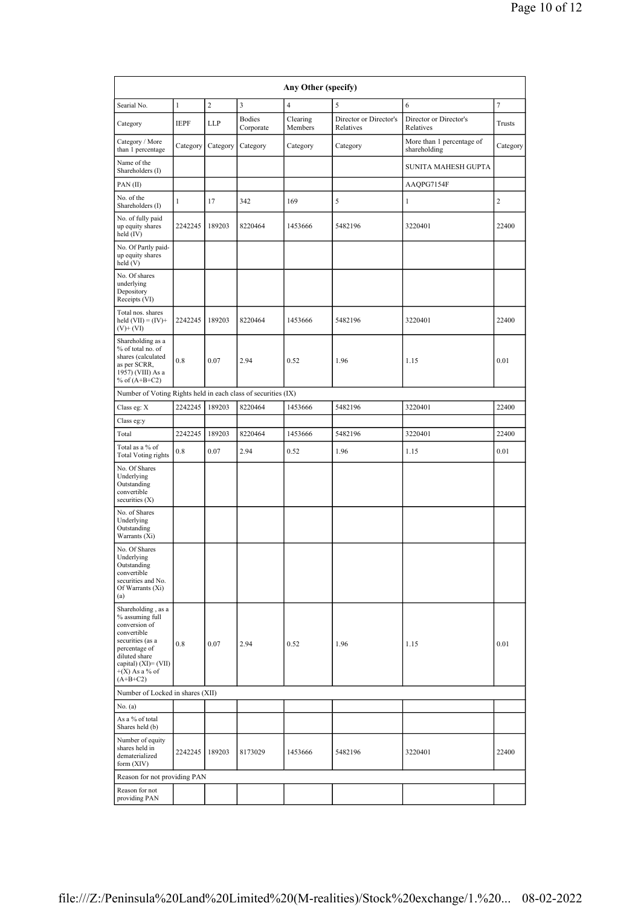|                                                                                                                                                                                       |              |            |                            | Any Other (specify) |                                     |                                           |                |
|---------------------------------------------------------------------------------------------------------------------------------------------------------------------------------------|--------------|------------|----------------------------|---------------------|-------------------------------------|-------------------------------------------|----------------|
| Searial No.                                                                                                                                                                           | $\mathbf{1}$ | $\sqrt{2}$ | 3                          | $\overline{4}$      | 5                                   | 6                                         | $\tau$         |
| Category                                                                                                                                                                              | <b>IEPF</b>  | LLP        | <b>Bodies</b><br>Corporate | Clearing<br>Members | Director or Director's<br>Relatives | Director or Director's<br>Relatives       | Trusts         |
| Category / More<br>than 1 percentage                                                                                                                                                  | Category     | Category   | Category                   | Category            | Category                            | More than 1 percentage of<br>shareholding | Category       |
| Name of the<br>Shareholders (I)                                                                                                                                                       |              |            |                            |                     |                                     | SUNITA MAHESH GUPTA                       |                |
| PAN(II)                                                                                                                                                                               |              |            |                            |                     |                                     | AAQPG7154F                                |                |
| No. of the<br>Shareholders (I)                                                                                                                                                        | 1            | 17         | 342                        | 169                 | 5                                   | 1                                         | $\overline{c}$ |
| No. of fully paid<br>up equity shares<br>held (IV)                                                                                                                                    | 2242245      | 189203     | 8220464                    | 1453666             | 5482196                             | 3220401                                   | 22400          |
| No. Of Partly paid-<br>up equity shares<br>held (V)                                                                                                                                   |              |            |                            |                     |                                     |                                           |                |
| No. Of shares<br>underlying<br>Depository<br>Receipts (VI)                                                                                                                            |              |            |                            |                     |                                     |                                           |                |
| Total nos. shares<br>held $(VII) = (IV) +$<br>$(V)$ + $(VI)$                                                                                                                          | 2242245      | 189203     | 8220464                    | 1453666             | 5482196                             | 3220401                                   | 22400          |
| Shareholding as a<br>% of total no. of<br>shares (calculated<br>as per SCRR,<br>1957) (VIII) As a<br>% of $(A+B+C2)$                                                                  | 0.8          | 0.07       | 2.94                       | 0.52                | 1.96                                | 1.15                                      | 0.01           |
| Number of Voting Rights held in each class of securities (IX)                                                                                                                         |              |            |                            |                     |                                     |                                           |                |
| Class eg: X                                                                                                                                                                           | 2242245      | 189203     | 8220464                    | 1453666             | 5482196                             | 3220401                                   | 22400          |
| Class eg:y                                                                                                                                                                            |              |            |                            |                     |                                     |                                           |                |
| Total                                                                                                                                                                                 | 2242245      | 189203     | 8220464                    | 1453666             | 5482196                             | 3220401                                   | 22400          |
| Total as a % of<br><b>Total Voting rights</b>                                                                                                                                         | 0.8          | 0.07       | 2.94                       | 0.52                | 1.96                                | 1.15                                      | 0.01           |
| No. Of Shares<br>Underlying<br>Outstanding<br>convertible<br>securities (X)                                                                                                           |              |            |                            |                     |                                     |                                           |                |
| No. of Shares<br>Underlying<br>Outstanding<br>Warrants (Xi)                                                                                                                           |              |            |                            |                     |                                     |                                           |                |
| No. Of Shares<br>Underlying<br>Outstanding<br>convertible<br>securities and No.<br>Of Warrants (Xi)<br>(a)                                                                            |              |            |                            |                     |                                     |                                           |                |
| Shareholding, as a<br>% assuming full<br>conversion of<br>convertible<br>securities (as a<br>percentage of<br>diluted share<br>capital) (XI)= (VII)<br>$+(X)$ As a % of<br>$(A+B+C2)$ | 0.8          | 0.07       | 2.94                       | 0.52                | 1.96                                | 1.15                                      | 0.01           |
| Number of Locked in shares (XII)                                                                                                                                                      |              |            |                            |                     |                                     |                                           |                |
| No. (a)                                                                                                                                                                               |              |            |                            |                     |                                     |                                           |                |
| As a % of total<br>Shares held (b)                                                                                                                                                    |              |            |                            |                     |                                     |                                           |                |
| Number of equity<br>shares held in<br>dematerialized<br>form (XIV)                                                                                                                    | 2242245      | 189203     | 8173029                    | 1453666             | 5482196                             | 3220401                                   | 22400          |
| Reason for not providing PAN                                                                                                                                                          |              |            |                            |                     |                                     |                                           |                |
| Reason for not<br>providing PAN                                                                                                                                                       |              |            |                            |                     |                                     |                                           |                |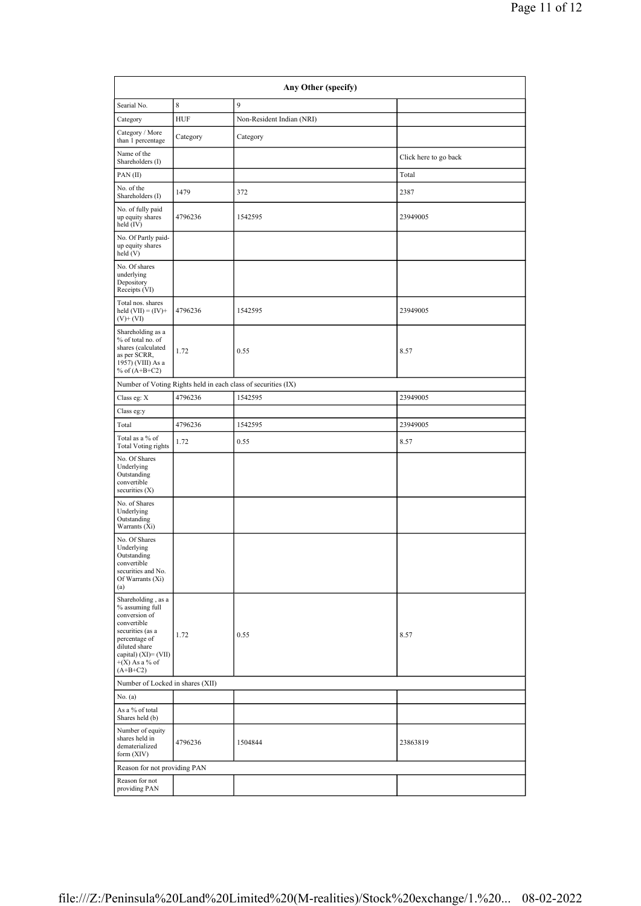|                                                                                                                                                                                          |            | Any Other (specify)                                           |                       |
|------------------------------------------------------------------------------------------------------------------------------------------------------------------------------------------|------------|---------------------------------------------------------------|-----------------------|
| Searial No.                                                                                                                                                                              | 8          | 9                                                             |                       |
| Category                                                                                                                                                                                 | <b>HUF</b> | Non-Resident Indian (NRI)                                     |                       |
| Category / More<br>than 1 percentage                                                                                                                                                     | Category   | Category                                                      |                       |
| Name of the<br>Shareholders (I)                                                                                                                                                          |            |                                                               | Click here to go back |
| PAN(II)                                                                                                                                                                                  |            |                                                               | Total                 |
| No. of the<br>Shareholders (I)                                                                                                                                                           | 1479       | 372                                                           | 2387                  |
| No. of fully paid<br>up equity shares<br>held (IV)                                                                                                                                       | 4796236    | 1542595                                                       | 23949005              |
| No. Of Partly paid-<br>up equity shares<br>held (V)                                                                                                                                      |            |                                                               |                       |
| No. Of shares<br>underlying<br>Depository<br>Receipts (VI)                                                                                                                               |            |                                                               |                       |
| Total nos. shares<br>held $(VII) = (IV) +$<br>$(V)+(VI)$                                                                                                                                 | 4796236    | 1542595                                                       | 23949005              |
| Shareholding as a<br>% of total no. of<br>shares (calculated<br>as per SCRR,<br>1957) (VIII) As a<br>% of $(A+B+C2)$                                                                     | 1.72       | 0.55                                                          | 8.57                  |
|                                                                                                                                                                                          |            | Number of Voting Rights held in each class of securities (IX) |                       |
| Class eg: X                                                                                                                                                                              | 4796236    | 1542595                                                       | 23949005              |
| Class eg:y                                                                                                                                                                               |            |                                                               |                       |
| Total                                                                                                                                                                                    | 4796236    | 1542595                                                       | 23949005              |
| Total as a % of<br><b>Total Voting rights</b>                                                                                                                                            | 1.72       | 0.55                                                          | 8.57                  |
| No. Of Shares<br>Underlying<br>Outstanding<br>convertible<br>securities $(X)$                                                                                                            |            |                                                               |                       |
| No. of Shares<br>Underlying<br>Outstanding<br>Warrants (Xi)                                                                                                                              |            |                                                               |                       |
| No. Of Shares<br>Underlying<br>Outstanding<br>convertible<br>securities and No.<br>Of Warrants (Xi)<br>(a)                                                                               |            |                                                               |                       |
| Shareholding, as a<br>% assuming full<br>conversion of<br>convertible<br>securities (as a<br>percentage of<br>diluted share<br>capital) $(XI) = (VII)$<br>$+(X)$ As a % of<br>$(A+B+C2)$ | 1.72       | 0.55                                                          | 8.57                  |
| Number of Locked in shares (XII)                                                                                                                                                         |            |                                                               |                       |
| No. (a)                                                                                                                                                                                  |            |                                                               |                       |
| As a % of total<br>Shares held (b)                                                                                                                                                       |            |                                                               |                       |
| Number of equity<br>shares held in<br>dematerialized<br>form $(XIV)$                                                                                                                     | 4796236    | 1504844                                                       | 23863819              |
| Reason for not providing PAN                                                                                                                                                             |            |                                                               |                       |
| Reason for not<br>providing PAN                                                                                                                                                          |            |                                                               |                       |